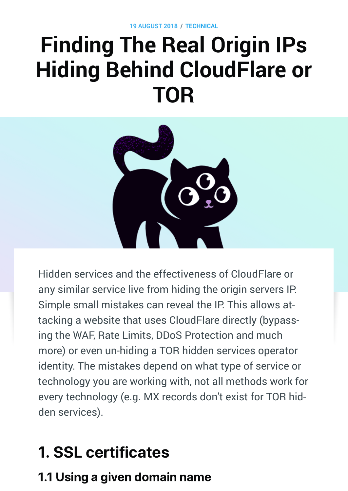**19 AUGUST 2018 / [TECHNICAL](https://www.secjuice.com/tag/technical/)**

# **Finding The Real Origin IPs Hiding Behind CloudFlare or TOR**



Hidden services and the effectiveness of CloudFlare or any similar service live from hiding the origin servers IP. Simple small mistakes can reveal the IP. This allows attacking a website that uses CloudFlare directly (bypassing the WAF, Rate Limits, DDoS Protection and much more) or even un-hiding a TOR hidden services operator identity. The mistakes depend on what type of service or technology you are working with, not all methods work for every technology (e.g. MX records don't exist for TOR hidden services).

## 1. SSL certificates

### 1.1 Using a given domain name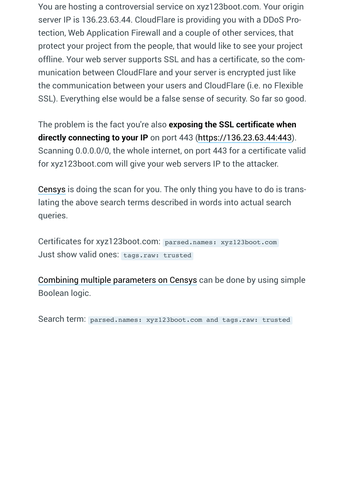You are hosting a controversial service on xyz123boot.com. Your origin server IP is 136.23.63.44. CloudFlare is providing you with a DDoS Protection, Web Application Firewall and a couple of other services, that protect your project from the people, that would like to see your project offline. Your web server supports SSL and has a certificate, so the communication between CloudFlare and your server is encrypted just like the communication between your users and CloudFlare (i.e. no Flexible SSL). Everything else would be a false sense of security. So far so good.

The problem is the fact you're also **exposing the SSL certificate when directly connecting to your IP** on port 443 ([https://136.23.63.44:443](https://136.23.63.44/)). Scanning 0.0.0.0/0, the whole internet, on port 443 for a certificate valid for xyz123boot.com will give your web servers IP to the attacker.

[Censys](https://censys.io/) is doing the scan for you. The only thing you have to do is translating the above search terms described in words into actual search queries.

Certificates for xyz123boot.com: parsed.names: xyz123boot.com Just show valid ones: tags.raw: trusted

[Combining multiple parameters on Censys](https://www.censys.io/certificates/help) can be done by using simple Boolean logic.

Search term: parsed.names: xyz123boot.com and tags.raw: trusted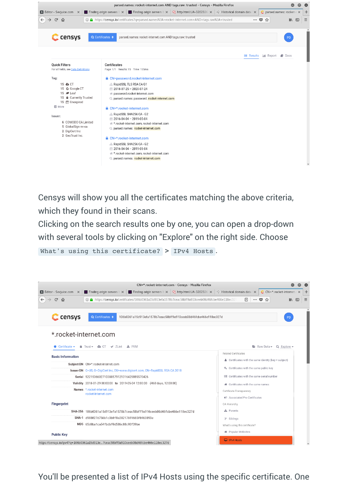

Censys will show you all the certificates matching the above criteria, which they found in their scans.

Clicking on the search results one by one, you can open a drop-down with several tools by clicking on "Explore" on the right side. Choose What's using this certificate? > IPv4 Hosts.



You'll be presented a list of IPv4 Hosts using the specific certificate. One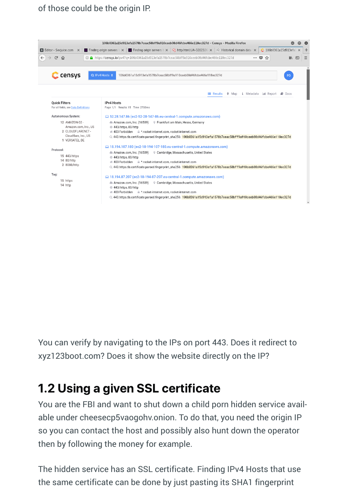#### of those could be the origin IP.



You can verify by navigating to the IPs on port 443. Does it redirect to xyz123boot.com? Does it show the website directly on the IP?

### 1.2 Using a given SSL certificate

You are the FBI and want to shut down a child porn hidden service available under cheesecp5vaogohv.onion. To do that, you need the origin IP so you can contact the host and possibly also hunt down the operator then by following the money for example.

The hidden service has an SSL certificate. Finding IPv4 Hosts that use the same certificate can be done by just pasting its SHA1 fingerprint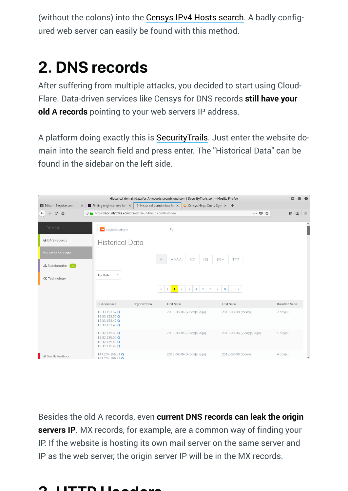(without the colons) into the [Censys IPv4 Hosts search](https://www.censys.io/ipv4). A badly configured web server can easily be found with this method.

## 2. DNS records

After suffering from multiple attacks, you decided to start using Cloud-Flare. Data-driven services like Censys for DNS records **still have your old A records** pointing to your web servers IP address.

A platform doing exactly this is [SecurityTrails.](https://securitytrails.com/) Just enter the website domain into the search field and press enter. The "Historical Data" can be found in the sidebar on the left side.

| Historical domain data for A-records soundcloud.com   SecurityTrails.com - Mozilla Firefox |                                                                      |                                                                         |                           |                     |                     |                                       |                        |                           |                      | ⋒<br>$\Omega$                                                                                                                                                                                                                                                                                                                                                                                                                                                                                                                                                                                                                     |
|--------------------------------------------------------------------------------------------|----------------------------------------------------------------------|-------------------------------------------------------------------------|---------------------------|---------------------|---------------------|---------------------------------------|------------------------|---------------------------|----------------------|-----------------------------------------------------------------------------------------------------------------------------------------------------------------------------------------------------------------------------------------------------------------------------------------------------------------------------------------------------------------------------------------------------------------------------------------------------------------------------------------------------------------------------------------------------------------------------------------------------------------------------------|
| El Editor - Secjuice.com                                                                   | $\mathbf{v}$ Finding origin servers beh $\times$<br>$\times$         | $\odot$ Historical domain data for $\times$                             |                           |                     |                     | C Censys Help: Query Synta $\times$ + |                        |                           |                      |                                                                                                                                                                                                                                                                                                                                                                                                                                                                                                                                                                                                                                   |
| $\leftarrow$<br>$C$ $\hat{a}$<br>$\rightarrow$                                             |                                                                      | The https://securitytrails.com/domain/soundcloud.com/history/a<br>… ◎ ☆ |                           |                     |                     |                                       |                        |                           |                      | $\equiv$<br>$\hfill\textcircled{\ensuremath{\mathsf{I}}}\hfill\textcircled{\ensuremath{\mathsf{I}}}\hfill\textcircled{\ensuremath{\mathsf{I}}}\hfill\textcircled{\ensuremath{\mathsf{I}}}\hfill\textcircled{\ensuremath{\mathsf{I}}}\hfill\textcircled{\ensuremath{\mathsf{I}}}\hfill\textcircled{\ensuremath{\mathsf{I}}}\hfill\textcircled{\ensuremath{\mathsf{I}}}\hfill\textcircled{\ensuremath{\mathsf{I}}}\hfill\textcircled{\ensuremath{\mathsf{I}}}\hfill\textcircled{\ensuremath{\mathsf{I}}}\hfill\textcircled{\ensuremath{\mathsf{I}}}\hfill\textcircled{\ensuremath{\mathsf{I}}}\hfill\textcircled{\ensuremath{\math$ |
| <b>DOMAIN</b>                                                                              | soundcloud.com<br>аs,                                                |                                                                         | Q                         |                     |                     |                                       |                        |                           |                      | $\hat{}$                                                                                                                                                                                                                                                                                                                                                                                                                                                                                                                                                                                                                          |
| <b>O</b> DNS records                                                                       |                                                                      | <b>Historical Data</b>                                                  |                           |                     |                     |                                       |                        |                           |                      |                                                                                                                                                                                                                                                                                                                                                                                                                                                                                                                                                                                                                                   |
| <b>D</b> Historical Data                                                                   |                                                                      | А                                                                       | AAAA                      | МX                  | <b>NS</b>           | SOA                                   | <b>TXT</b>             |                           |                      |                                                                                                                                                                                                                                                                                                                                                                                                                                                                                                                                                                                                                                   |
| <b>A</b> Subdomains 46                                                                     |                                                                      |                                                                         |                           |                     |                     |                                       |                        |                           |                      |                                                                                                                                                                                                                                                                                                                                                                                                                                                                                                                                                                                                                                   |
| <b>©</b> Technology                                                                        | $\overline{\mathbf{v}}$<br>By Date                                   |                                                                         |                           |                     |                     |                                       |                        |                           |                      |                                                                                                                                                                                                                                                                                                                                                                                                                                                                                                                                                                                                                                   |
|                                                                                            |                                                                      | $\ll$                                                                   | $\overline{2}$            | 3<br>$\overline{4}$ | $\overline{5}$<br>6 | 7 <sup>7</sup>                        | $8 \rightarrow \infty$ |                           |                      |                                                                                                                                                                                                                                                                                                                                                                                                                                                                                                                                                                                                                                   |
|                                                                                            | <b>IP Addresses</b>                                                  | Organization                                                            | <b>First Seen</b>         |                     |                     |                                       | <b>Last Seen</b>       |                           | <b>Duration Seen</b> |                                                                                                                                                                                                                                                                                                                                                                                                                                                                                                                                                                                                                                   |
|                                                                                            | 13.33.153.57 Q<br>13.33.153.50 Q<br>13.33.153.47 Q<br>13.33.153.45 Q |                                                                         | 2018-08-06 (2 day(s) ago) |                     |                     |                                       | 2018-08-08 (today)     |                           | $2 \text{ day}(s)$   |                                                                                                                                                                                                                                                                                                                                                                                                                                                                                                                                                                                                                                   |
|                                                                                            | 13.32.135.63 Q<br>13.32.135.50 Q<br>13.32.135.43 Q<br>13.32.135.41 Q |                                                                         | 2018-08-05 (3 day(s) ago) |                     |                     |                                       |                        | 2018-08-06 (2 day(s) ago) | $1 \text{ day}(s)$   |                                                                                                                                                                                                                                                                                                                                                                                                                                                                                                                                                                                                                                   |
| ₹ Give Us Feedback                                                                         | 143.204.155.61 Q<br>143 204 155 56 0                                 |                                                                         | 2018-08-04 (4 day(s) ago) |                     |                     |                                       | 2018-08-08 (today)     |                           | $4$ day(s)           | $\check{}$                                                                                                                                                                                                                                                                                                                                                                                                                                                                                                                                                                                                                        |

Besides the old A records, even **current DNS records can leak the origin servers IP**. MX records, for example, are a common way of finding your IP. If the website is hosting its own mail server on the same server and IP as the web server, the origin server IP will be in the MX records.

#### I ITTP I L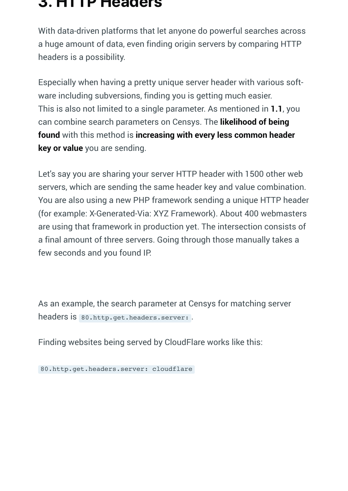#### 3. HTTP Headers

With data-driven platforms that let anyone do powerful searches across a huge amount of data, even finding origin servers by comparing HTTP headers is a possibility.

Especially when having a pretty unique server header with various software including subversions, finding you is getting much easier. This is also not limited to a single parameter. As mentioned in **1.1**, you can combine search parameters on Censys. The **likelihood of being found** with this method is **increasing with every less common header key or value** you are sending.

Let's say you are sharing your server HTTP header with 1500 other web servers, which are sending the same header key and value combination. You are also using a new PHP framework sending a unique HTTP header (for example: X-Generated-Via: XYZ Framework). About 400 webmasters are using that framework in production yet. The intersection consists of a final amount of three servers. Going through those manually takes a few seconds and you found IP.

As an example, the search parameter at Censys for matching server headers is 80.http.get.headers.server: .

Finding websites being served by CloudFlare works like this:

80.http.get.headers.server: cloudflare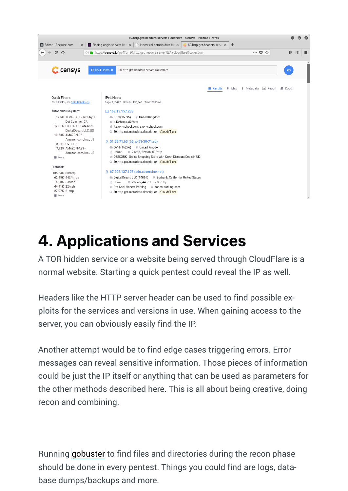

### 4. Applications and Services

A TOR hidden service or a website being served through CloudFlare is a normal website. Starting a quick pentest could reveal the IP as well.

Headers like the HTTP server header can be used to find possible exploits for the services and versions in use. When gaining access to the server, you can obviously easily find the IP.

Another attempt would be to find edge cases triggering errors. Error messages can reveal sensitive information. Those pieces of information could be just the IP itself or anything that can be used as parameters for the other methods described here. This is all about being creative, doing recon and combining.

Running [gobuster](https://github.com/OJ/gobuster) to find files and directories during the recon phase should be done in every pentest. Things you could find are logs, database dumps/backups and more.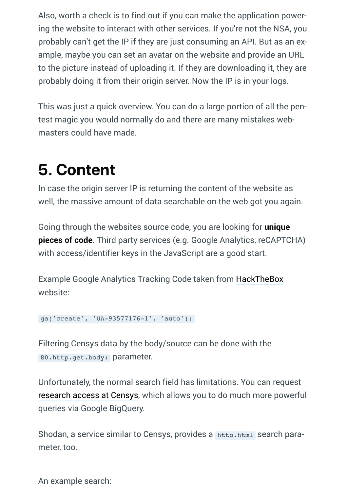Also, worth a check is to find out if you can make the application powering the website to interact with other services. If you're not the NSA, you probably can't get the IP if they are just consuming an API. But as an example, maybe you can set an avatar on the website and provide an URL to the picture instead of uploading it. If they are downloading it, they are probably doing it from their origin server. Now the IP is in your logs.

This was just a quick overview. You can do a large portion of all the pentest magic you would normally do and there are many mistakes webmasters could have made.

## 5. Content

In case the origin server IP is returning the content of the website as well, the massive amount of data searchable on the web got you again.

Going through the websites source code, you are looking for **unique pieces of code**. Third party services (e.g. Google Analytics, reCAPTCHA) with access/identifier keys in the JavaScript are a good start.

Example Google Analytics Tracking Code taken from [HackTheBox](https://www.hackthebox.eu/) website:

```
ga('create', 'UA-93577176-1', 'auto');
```
Filtering Censys data by the body/source can be done with the 80.http.get.body: parameter.

Unfortunately, the normal search field has limitations. You can request [research access at Censys](https://support.censys.io/getting-started/research-access-to-censys-data), which allows you to do much more powerful queries via Google BigQuery.

Shodan, a service similar to Censys, provides a http.html search parameter, too.

An example search: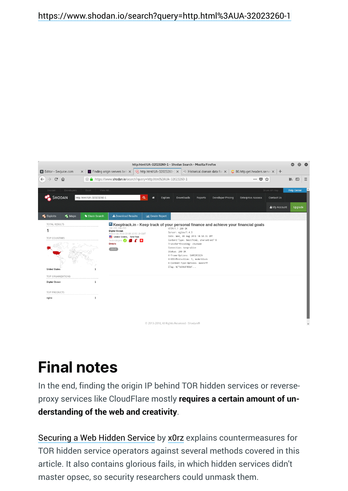#### <https://www.shodan.io/search?query=http.html%3AUA-32023260-1>



### Final notes

In the end, finding the origin IP behind TOR hidden services or reverseproxy services like CloudFlare mostly **requires a certain amount of understanding of the web and creativity**.

[Securing a Web Hidden Service](https://blog.0day.rocks/securing-a-web-hidden-service-89d935ba1c1d) by [x0rz](https://twitter.com/x0rz) explains countermeasures for TOR hidden service operators against several methods covered in this article. It also contains glorious fails, in which hidden services didn't master opsec, so security researchers could unmask them.